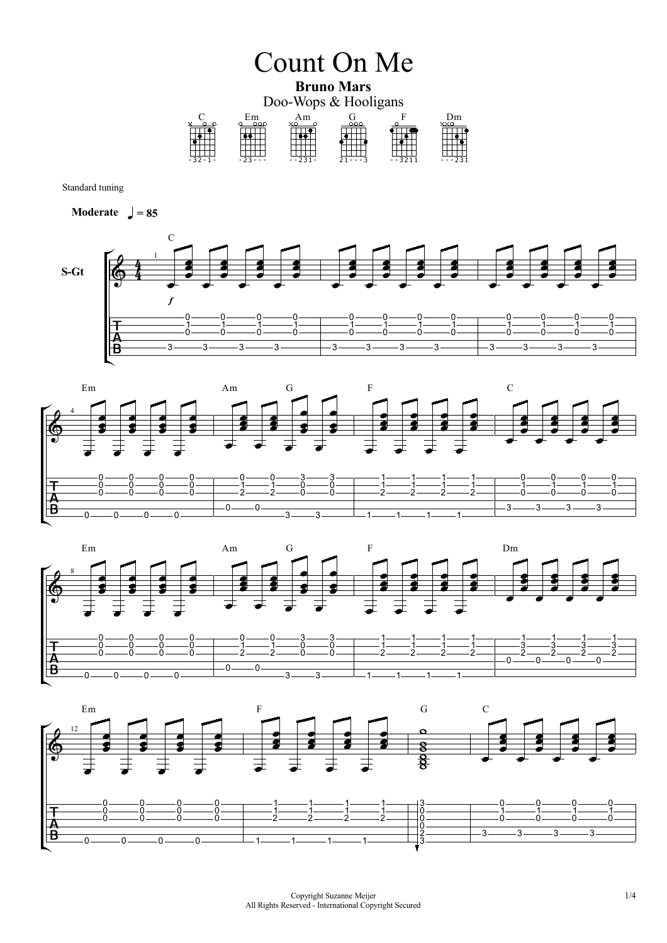

Standard tuning









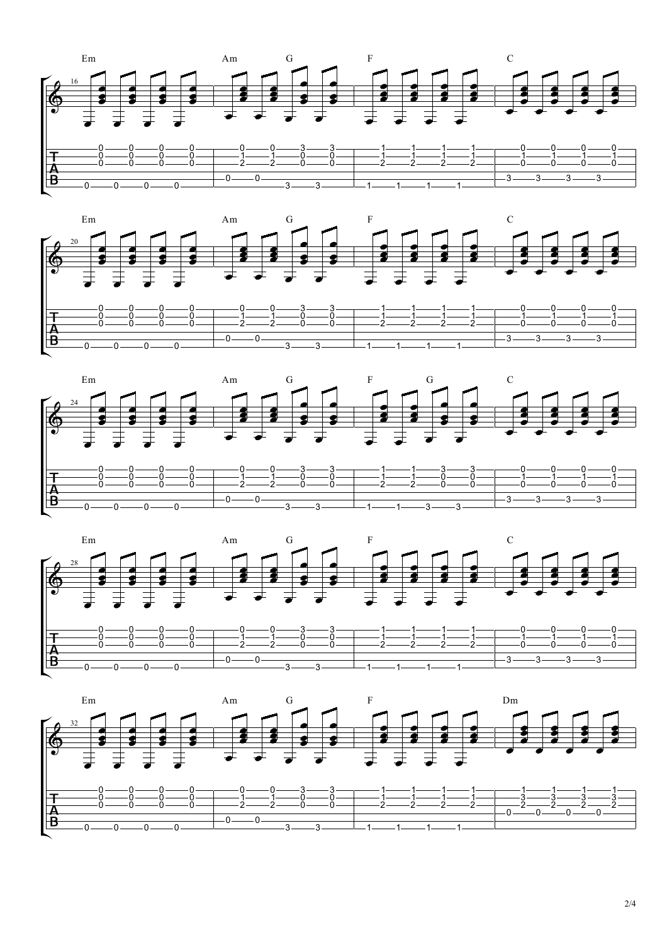







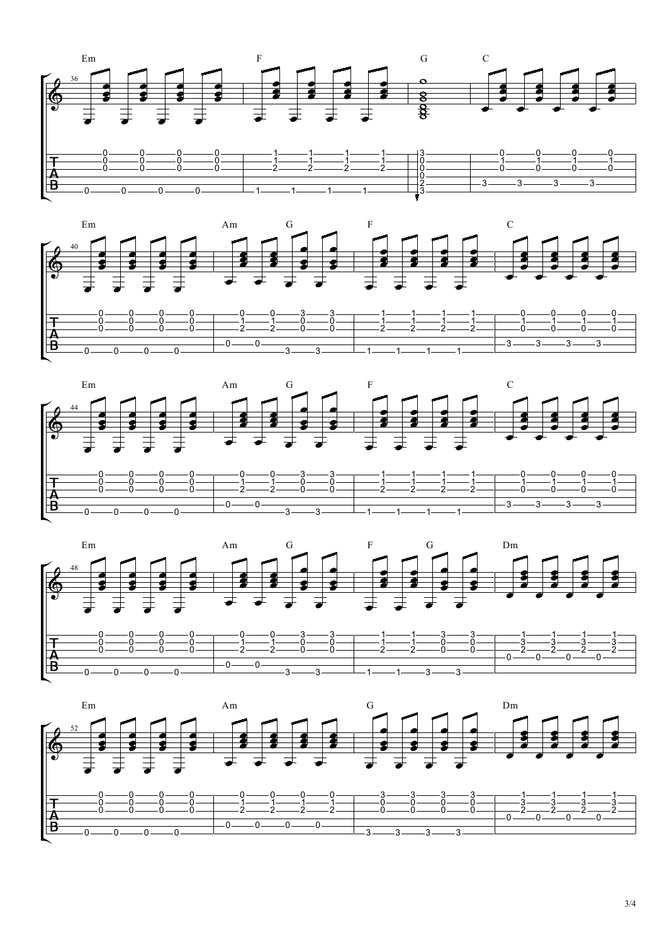